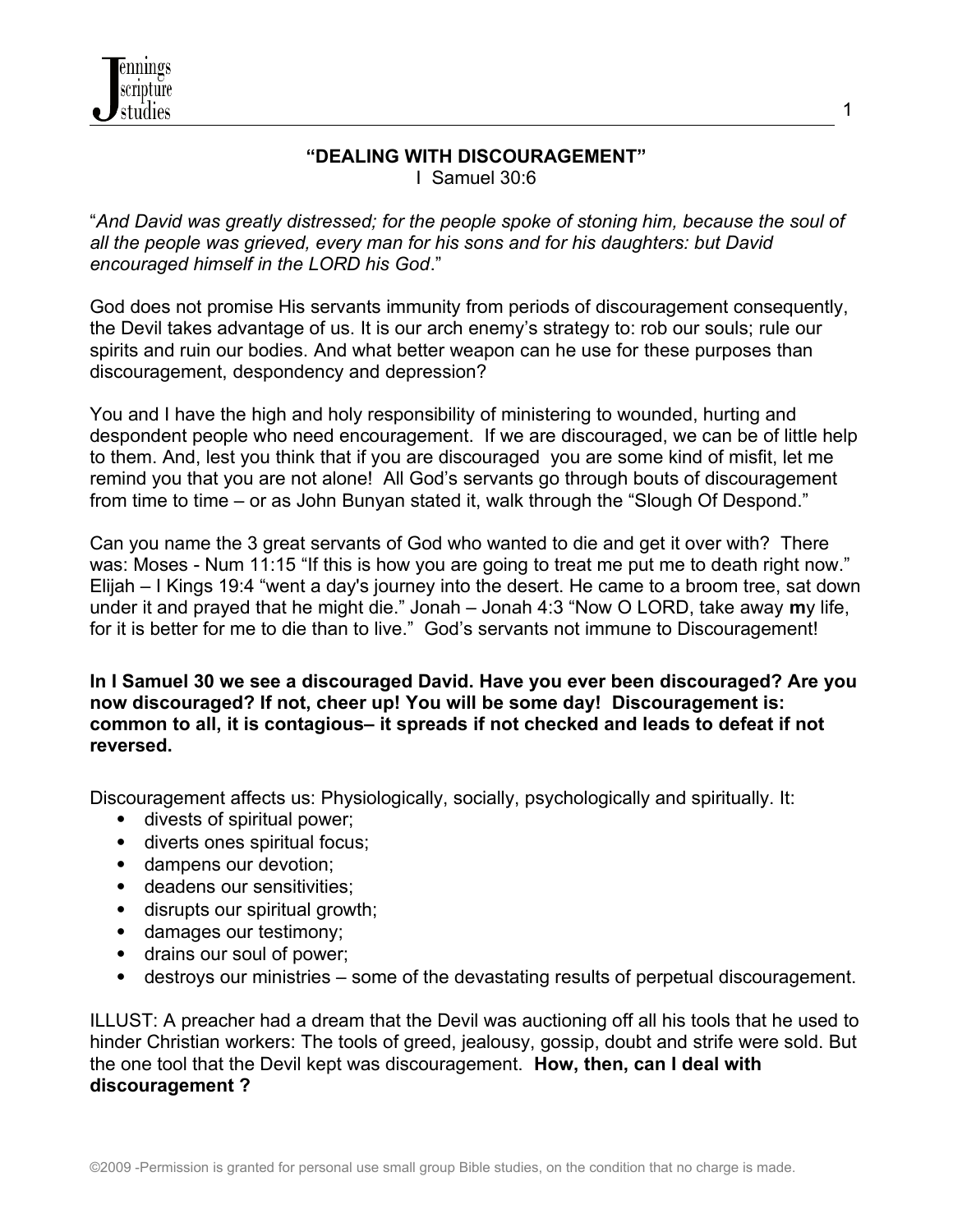

#### **"DEALING WITH DISCOURAGEMENT"** I Samuel 30:6

"*And David was greatly distressed; for the people spoke of stoning him, because the soul of all the people was grieved, every man for his sons and for his daughters: but David encouraged himself in the LORD his God*."

God does not promise His servants immunity from periods of discouragement consequently, the Devil takes advantage of us. It is our arch enemy's strategy to: rob our souls; rule our spirits and ruin our bodies. And what better weapon can he use for these purposes than discouragement, despondency and depression?

You and I have the high and holy responsibility of ministering to wounded, hurting and despondent people who need encouragement. If we are discouraged, we can be of little help to them. And, lest you think that if you are discouraged you are some kind of misfit, let me remind you that you are not alone! All God's servants go through bouts of discouragement from time to time – or as John Bunyan stated it, walk through the "Slough Of Despond."

Can you name the 3 great servants of God who wanted to die and get it over with? There was: Moses - Num 11:15 "If this is how you are going to treat me put me to death right now." Elijah – I Kings 19:4 "went a day's journey into the desert. He came to a broom tree, sat down under it and prayed that he might die." Jonah – Jonah 4:3 "Now O LORD, take away **m**y life, for it is better for me to die than to live." God's servants not immune to Discouragement!

**In I Samuel 30 we see a discouraged David. Have you ever been discouraged? Are you now discouraged? If not, cheer up! You will be some day! Discouragement is: common to all, it is contagious– it spreads if not checked and leads to defeat if not reversed.**

Discouragement affects us: Physiologically, socially, psychologically and spiritually. It:

- divests of spiritual power;
- diverts ones spiritual focus;
- dampens our devotion;
- deadens our sensitivities;
- disrupts our spiritual growth;
- damages our testimony;
- drains our soul of power;
- destroys our ministries some of the devastating results of perpetual discouragement.

ILLUST: A preacher had a dream that the Devil was auctioning off all his tools that he used to hinder Christian workers: The tools of greed, jealousy, gossip, doubt and strife were sold. But the one tool that the Devil kept was discouragement. **How, then, can I deal with discouragement ?**

1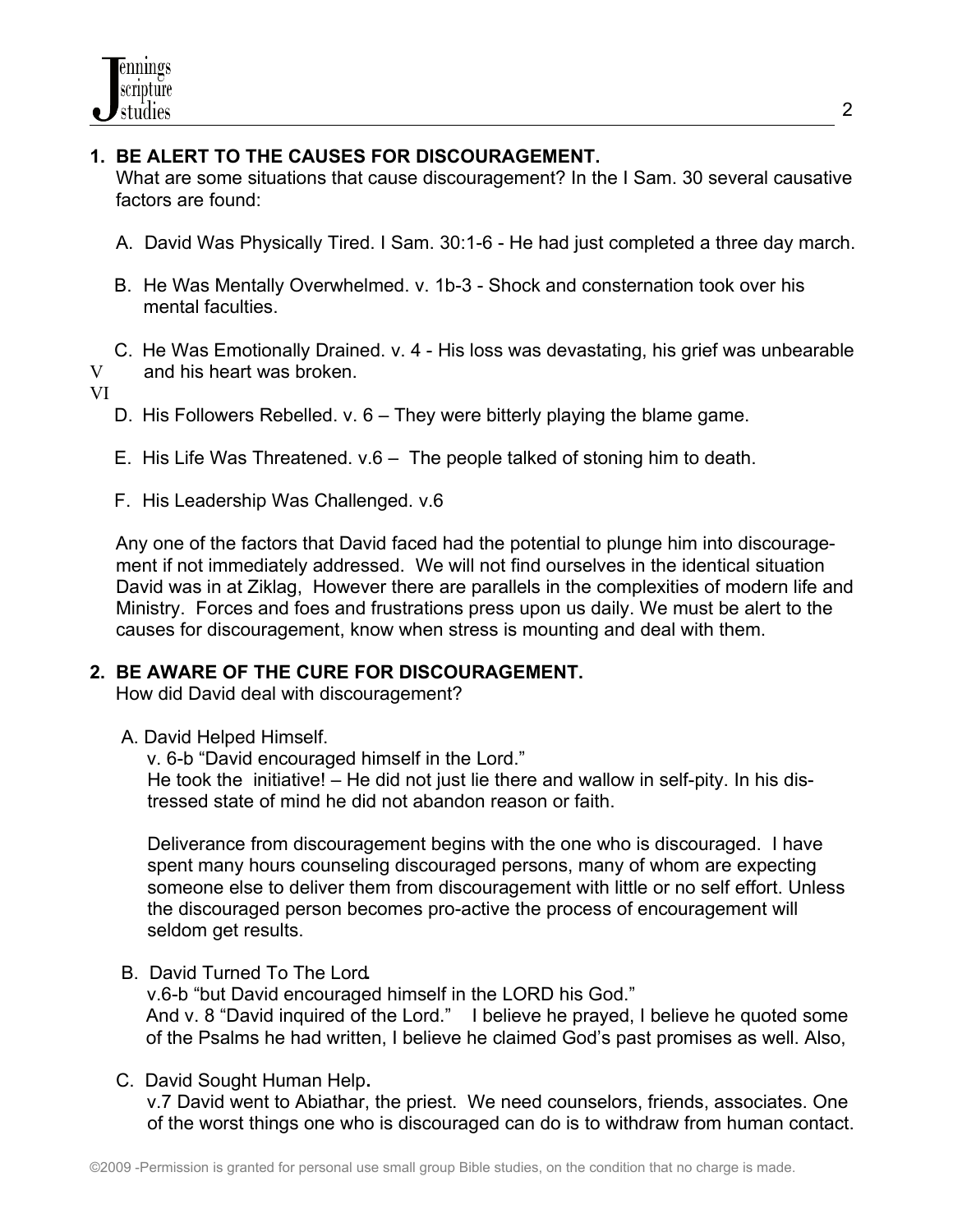### **1. BE ALERT TO THE CAUSES FOR DISCOURAGEMENT.**

 What are some situations that cause discouragement? In the I Sam. 30 several causative factors are found:

- A. David Was Physically Tired. I Sam. 30:1-6 He had just completed a three day march.
- B. He Was Mentally Overwhelmed. v. 1b-3 Shock and consternation took over his mental faculties.
- C. He Was Emotionally Drained. v. 4 His loss was devastating, his grief was unbearable V and his heart was broken.

VI

- D. His Followers Rebelled. v. 6 They were bitterly playing the blame game.
- E. His Life Was Threatened. v.6 The people talked of stoning him to death.
- F. His Leadership Was Challenged. v.6

Any one of the factors that David faced had the potential to plunge him into discourage ment if not immediately addressed. We will not find ourselves in the identical situation David was in at Ziklag, However there are parallels in the complexities of modern life and Ministry. Forces and foes and frustrations press upon us daily. We must be alert to the causes for discouragement, know when stress is mounting and deal with them.

#### **2. BE AWARE OF THE CURE FOR DISCOURAGEMENT.**

How did David deal with discouragement?

A. David Helped Himself.

v. 6-b "David encouraged himself in the Lord." He took the initiative! – He did not just lie there and wallow in self-pity. In his dis tressed state of mind he did not abandon reason or faith.

 Deliverance from discouragement begins with the one who is discouraged. I have spent many hours counseling discouraged persons, many of whom are expecting someone else to deliver them from discouragement with little or no self effort. Unless the discouraged person becomes pro-active the process of encouragement will seldom get results.

B. David Turned To The Lord**.** 

v.6-b "but David encouraged himself in the LORD his God." And v. 8 "David inquired of the Lord." I believe he prayed, I believe he quoted some of the Psalms he had written, I believe he claimed God's past promises as well. Also,

C. David Sought Human Help**.** 

v.7 David went to Abiathar, the priest. We need counselors, friends, associates. One of the worst things one who is discouraged can do is to withdraw from human contact.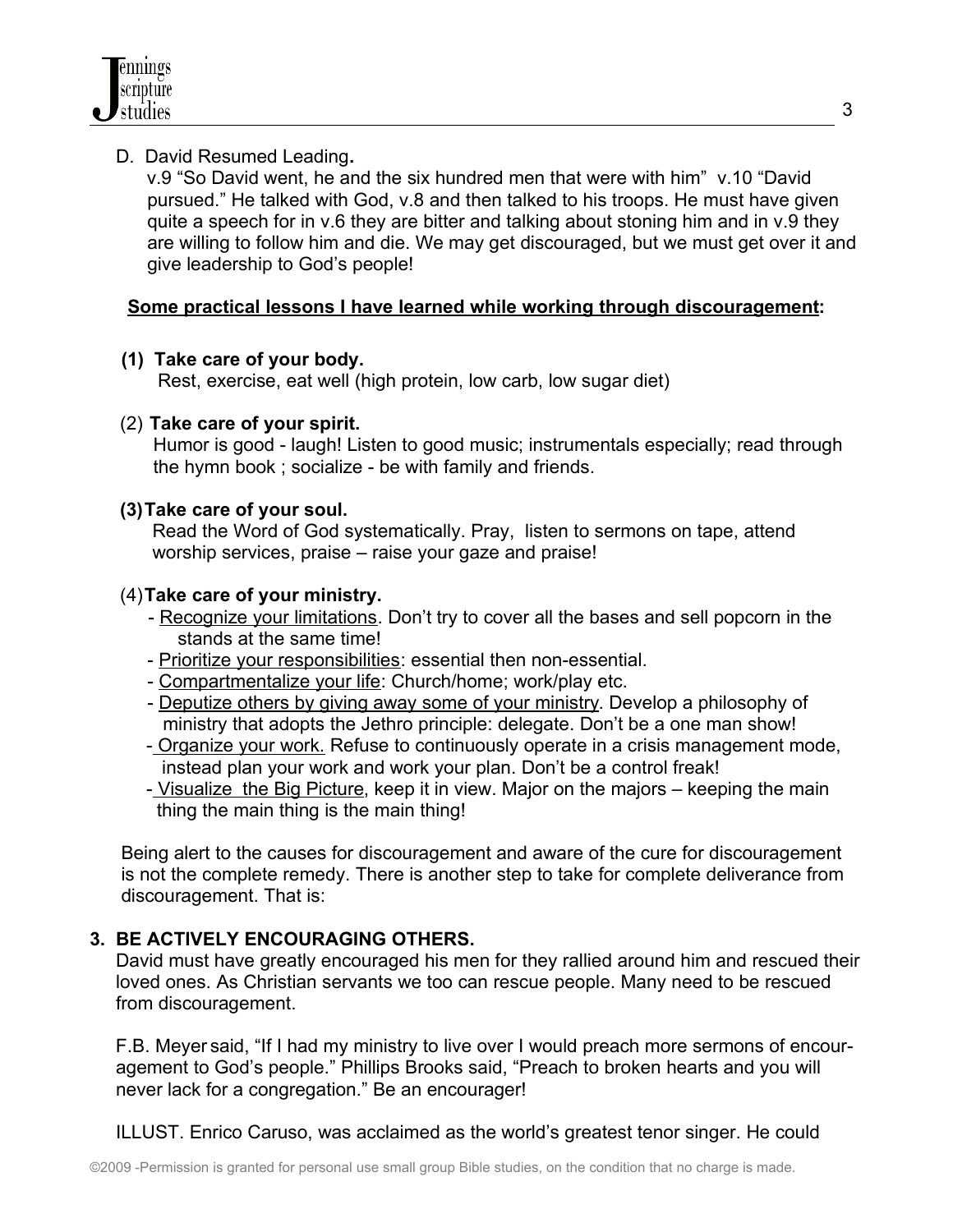

## D. David Resumed Leading**.**

v.9 "So David went, he and the six hundred men that were with him" v.10 "David pursued." He talked with God, v.8 and then talked to his troops. He must have given quite a speech for in v.6 they are bitter and talking about stoning him and in v.9 they are willing to follow him and die. We may get discouraged, but we must get over it and give leadership to God's people!

### **Some practical lessons I have learned while working through discouragement:**

### **(1) Take care of your body.**

Rest, exercise, eat well (high protein, low carb, low sugar diet)

### (2) **Take care of your spirit.**

Humor is good - laugh! Listen to good music; instrumentals especially; read through the hymn book ; socialize - be with family and friends.

### **(3)Take care of your soul.**

 Read the Word of God systematically. Pray, listen to sermons on tape, attend worship services, praise – raise your gaze and praise!

### (4)**Take care of your ministry.**

- Recognize your limitations. Don't try to cover all the bases and sell popcorn in the stands at the same time!
- Prioritize your responsibilities: essential then non-essential.
- Compartmentalize your life: Church/home; work/play etc.
- Deputize others by giving away some of your ministry. Develop a philosophy of ministry that adopts the Jethro principle: delegate. Don't be a one man show!
- Organize your work. Refuse to continuously operate in a crisis management mode, instead plan your work and work your plan. Don't be a control freak!
- Visualize the Big Picture, keep it in view. Major on the majors keeping the main thing the main thing is the main thing!

 Being alert to the causes for discouragement and aware of the cure for discouragement is not the complete remedy. There is another step to take for complete deliverance from discouragement. That is:

## **3. BE ACTIVELY ENCOURAGING OTHERS.**

 David must have greatly encouraged his men for they rallied around him and rescued their loved ones. As Christian servants we too can rescue people. Many need to be rescued from discouragement.

F.B. Meyer said, "If I had my ministry to live over I would preach more sermons of encour agement to God's people." Phillips Brooks said, "Preach to broken hearts and you will never lack for a congregation." Be an encourager!

ILLUST. Enrico Caruso, was acclaimed as the world's greatest tenor singer. He could